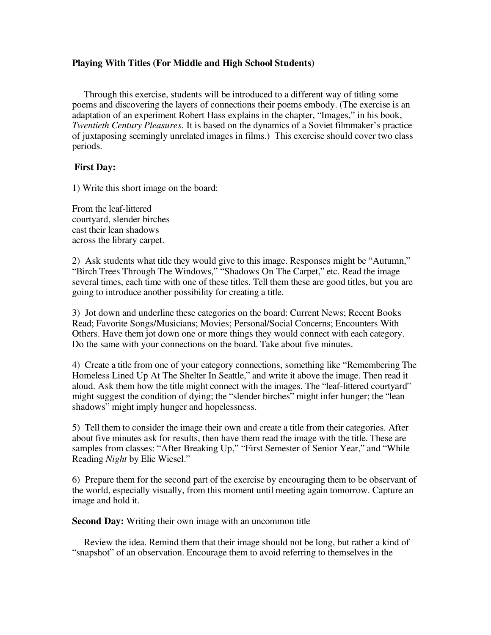# **Playing With Titles (For Middle and High School Students)**

Through this exercise, students will be introduced to a different way of titling some poems and discovering the layers of connections their poems embody. (The exercise is an adaptation of an experiment Robert Hass explains in the chapter, "Images," in his book, *Twentieth Century Pleasures.* It is based on the dynamics of a Soviet filmmaker's practice of juxtaposing seemingly unrelated images in films.) This exercise should cover two class periods.

### **First Day:**

1) Write this short image on the board:

From the leaf-littered courtyard, slender birches cast their lean shadows across the library carpet.

2) Ask students what title they would give to this image. Responses might be "Autumn," "Birch Trees Through The Windows," "Shadows On The Carpet," etc. Read the image several times, each time with one of these titles. Tell them these are good titles, but you are going to introduce another possibility for creating a title.

3) Jot down and underline these categories on the board: Current News; Recent Books Read; Favorite Songs/Musicians; Movies; Personal/Social Concerns; Encounters With Others. Have them jot down one or more things they would connect with each category. Do the same with your connections on the board. Take about five minutes.

4) Create a title from one of your category connections, something like "Remembering The Homeless Lined Up At The Shelter In Seattle," and write it above the image. Then read it aloud. Ask them how the title might connect with the images. The "leaf-littered courtyard" might suggest the condition of dying; the "slender birches" might infer hunger; the "lean shadows" might imply hunger and hopelessness.

5) Tell them to consider the image their own and create a title from their categories. After about five minutes ask for results, then have them read the image with the title. These are samples from classes: "After Breaking Up," "First Semester of Senior Year," and "While Reading *Night* by Elie Wiesel."

6) Prepare them for the second part of the exercise by encouraging them to be observant of the world, especially visually, from this moment until meeting again tomorrow. Capture an image and hold it.

**Second Day:** Writing their own image with an uncommon title

Review the idea. Remind them that their image should not be long, but rather a kind of "snapshot" of an observation. Encourage them to avoid referring to themselves in the